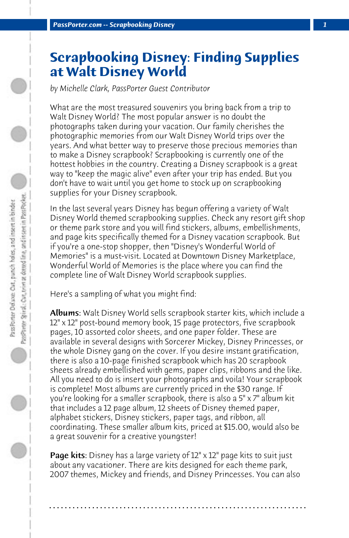## **Scrapbooking Disney: Finding Supplies at Walt Disney World**

*by Michelle Clark, PassPorter Guest Contributor*

What are the most treasured souvenirs you bring back from a trip to Walt Disney World? The most popular answer is no doubt the photographs taken during your vacation. Our family cherishes the photographic memories from our Walt Disney World trips over the years. And what better way to preserve those precious memories than to make a Disney scrapbook? Scrapbooking is currently one of the hottest hobbies in the country. Creating a Disney scrapbook is a great way to "keep the magic alive" even after your trip has ended. But you don't have to wait until you get home to stock up on scrapbooking supplies for your Disney scrapbook.

In the last several years Disney has begun offering a variety of Walt Disney World themed scrapbooking supplies. Check any resort gift shop or theme park store and you will find stickers, albums, embellishments, and page kits specifically themed for a Disney vacation scrapbook. But if you're a one-stop shopper, then "Disney's Wonderful World of Memories" is a must-visit. Located at Downtown Disney Marketplace, Wonderful World of Memories is the place where you can find the complete line of Walt Disney World scrapbook supplies.

Here's a sampling of what you might find:

Albums: Walt Disney World sells scrapbook starter kits, which include a 12" x 12" post-bound memory book, 15 page protectors, five scrapbook pages, 10 assorted color sheets, and one paper folder. These are available in several designs with Sorcerer Mickey, Disney Princesses, or the whole Disney gang on the cover. If you desire instant gratification, there is also a 10-page finished scrapbook which has 20 scrapbook sheets already embellished with gems, paper clips, ribbons and the like. All you need to do is insert your photographs and voila! Your scrapbook is complete! Most albums are currently priced in the \$30 range. If you're looking for a smaller scrapbook, there is also a 5" x 7" album kit that includes a 12 page album, 12 sheets of Disney themed paper, alphabet stickers, Disney stickers, paper tags, and ribbon, all coordinating. These smaller album kits, priced at \$15.00, would also be a great souvenir for a creative youngster!

**Page kits:** Disney has a large variety of 12" x 12" page kits to suit just about any vacationer. There are kits designed for each theme park, 2007 themes, Mickey and friends, and Disney Princesses. You can also

**. . . . . . . . . . . . . . . . . . . . . . . . . . . . . . . . . . . . . . . . . . . . . . . . . . . . . . . . . . . . . . . . . .**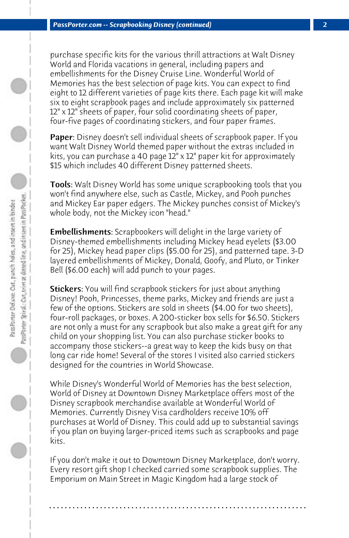purchase specific kits for the various thrill attractions at Walt Disney World and Florida vacations in general, including papers and embellishments for the Disney Cruise Line. Wonderful World of Memories has the best selection of page kits. You can expect to find eight to 12 different varieties of page kits there. Each page kit will make six to eight scrapbook pages and include approximately six patterned 12" x 12" sheets of paper, four solid coordinating sheets of paper, four-five pages of coordinating stickers, and four paper frames.

Paper: Disney doesn't sell individual sheets of scrapbook paper. If you want Walt Disney World themed paper without the extras included in kits, you can purchase a 40 page 12" x 12" paper kit for approximately \$15 which includes 40 different Disney patterned sheets.

Tools: Walt Disney World has some unique scrapbooking tools that you won't find anywhere else, such as Castle, Mickey, and Pooh punches and Mickey Ear paper edgers. The Mickey punches consist of Mickey's whole body, not the Mickey icon "head."

**Embellishments:** Scrapbookers will delight in the large variety of Disney-themed embellishments including Mickey head eyelets (\$3.00 for 25), Mickey head paper clips (\$5.00 for 25), and patterned tape. 3-D layered embellishments of Mickey, Donald, Goofy, and Pluto, or Tinker Bell (\$6.00 each) will add punch to your pages.

**Stickers:** You will find scrapbook stickers for just about anything Disney! Pooh, Princesses, theme parks, Mickey and friends are just a few of the options. Stickers are sold in sheets (\$4.00 for two sheets), four-roll packages, or boxes. A 200-sticker box sells for \$6.50. Stickers are not only a must for any scrapbook but also make a great gift for any child on your shopping list. You can also purchase sticker books to accompany those stickers--a great way to keep the kids busy on that long car ride home! Several of the stores I visited also carried stickers designed for the countries in World Showcase.

While Disney's Wonderful World of Memories has the best selection, World of Disney at Downtown Disney Marketplace offers most of the Disney scrapbook merchandise available at Wonderful World of Memories. Currently Disney Visa cardholders receive 10% off purchases at World of Disney. This could add up to substantial savings if you plan on buying larger-priced items such as scrapbooks and page kits.

If you don't make it out to Downtown Disney Marketplace, don't worry. Every resort gift shop I checked carried some scrapbook supplies. The Emporium on Main Street in Magic Kingdom had a large stock of

**. . . . . . . . . . . . . . . . . . . . . . . . . . . . . . . . . . . . . . . . . . . . . . . . . . . . . . . . . . . . . . . . . .**